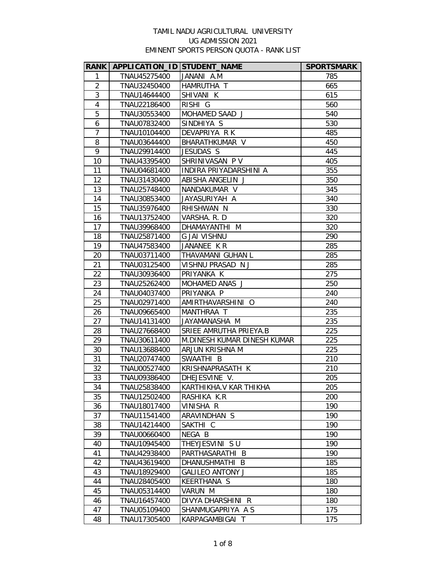| <b>RANK</b>             | APPLICATION_ID STUDENT_NAME |                             | <b>SPORTSMARK</b> |
|-------------------------|-----------------------------|-----------------------------|-------------------|
| 1                       | TNAU45275400                | JANANI A.M                  | 785               |
| $\overline{2}$          | TNAU32450400                | HAMRUTHA T                  | 665               |
| 3                       | TNAU14644400                | SHIVANI K                   | 615               |
| $\overline{\mathbf{4}}$ | TNAU22186400                | RISHI G                     | 560               |
| 5                       | TNAU30553400                | MOHAMED SAAD J              | 540               |
| 6                       | TNAU07832400                | SINDHIYA S                  | 530               |
| $\overline{7}$          | TNAU10104400                | DEVAPRIYA R K               | 485               |
| 8                       | TNAU03644400                | BHARATHKUMAR V              | 450               |
| 9                       | TNAU29914400                | JESUDAS S                   | 445               |
| 10                      | TNAU43395400                | SHRINIVASAN PV              | 405               |
| 11                      | TNAU04681400                | INDIRA PRIYADARSHINI A      | 355               |
| 12                      | TNAU31430400                | ABISHA ANGELIN J            | 350               |
| 13                      | TNAU25748400                | NANDAKUMAR V                | 345               |
| 14                      | TNAU30853400                | JAYASURIYAH A               | 340               |
| 15                      | TNAU35976400                | RHISHWAN N                  | 330               |
| 16                      | TNAU13752400                | VARSHA. R. D                | 320               |
| 17                      | TNAU39968400                | DHAMAYANTHI M               | 320               |
| 18                      | TNAU25871400                | <b>G JAI VISHNU</b>         | 290               |
| 19                      | TNAU47583400                | JANANEE KR                  | 285               |
| 20                      | TNAU03711400                | THAVAMANI GUHAN L           | 285               |
| 21                      | TNAU03125400                | VISHNU PRASAD N J           | 285               |
| 22                      | TNAU30936400                | PRIYANKA K                  | 275               |
| 23                      | TNAU25262400                | MOHAMED ANAS J              | 250               |
| 24                      | TNAU04037400                | PRIYANKA P                  | 240               |
| 25                      | TNAU02971400                | AMIRTHAVARSHINI O           | 240               |
| 26                      | TNAU09665400                | MANTHRAA T                  | 235               |
| 27                      | TNAU14131400                | JAYAMANASHA M               | 235               |
| 28                      | TNAU27668400                | SRIEE AMRUTHA PRIEYA.B      | 225               |
| 29                      | TNAU30611400                | M.DINESH KUMAR DINESH KUMAR | 225               |
| 30                      | TNAU13688400                | ARJUN KRISHNA M             | 225               |
| 31                      | TNAU20747400                | SWAATHI B                   | 210               |
| 32                      | TNAU00527400                | KRISHNAPRASATH K            | 210               |
| 33                      | TNAU09386400                | DHEJESVINE V.               | 205               |
| 34                      | TNAU25838400                | KARTHIKHA.V KAR THIKHA      | 205               |
| 35                      | TNAU12502400                | RASHIKA K.R                 | 200               |
| 36                      | TNAU18017400                | VINISHA R                   | 190               |
| 37                      | TNAU11541400                | ARAVINDHAN S                | 190               |
| 38                      | TNAU14214400                | SAKTHI C                    | 190               |
| 39                      | TNAU00660400                | NEGA B                      | 190               |
| 40                      | TNAU10945400                | THEYJESVINI SU              | 190               |
| 41                      | TNAU42938400                | PARTHASARATHI B             | 190               |
| 42                      | TNAU43619400                | DHANUSHMATHI B              | 185               |
| 43                      | TNAU18929400                | <b>GALILEO ANTONY J</b>     | 185               |
| 44                      | TNAU28405400                | KEERTHANA S                 | 180               |
| 45                      | TNAU05314400                | VARUN M                     | 180               |
| 46                      | TNAU16457400                | DIVYA DHARSHINI R           | 180               |
| 47                      | TNAU05109400                | SHANMUGAPRIYA A S           | 175               |
| 48                      | TNAU17305400                | KARPAGAMBIGAI T             | 175               |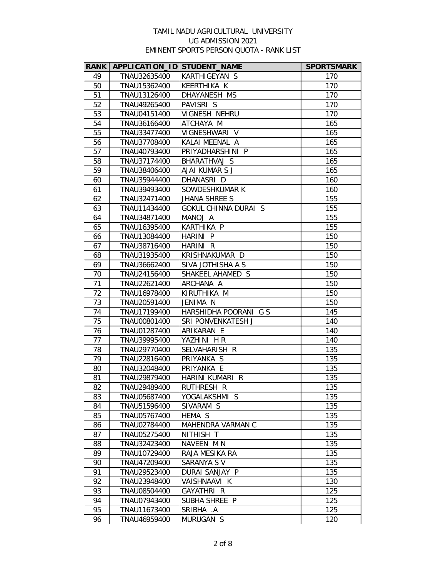| <b>RANK</b> | APPLICATION_ID STUDENT_NAME |                             | <b>SPORTSMARK</b> |
|-------------|-----------------------------|-----------------------------|-------------------|
| 49          | TNAU32635400                | KARTHIGEYAN S               | 170               |
| 50          | TNAU15362400                | KEERTHIKA K                 | 170               |
| 51          | TNAU13126400                | DHAYANESH MS                | 170               |
| 52          | TNAU49265400                | PAVISRI S                   | 170               |
| 53          | TNAU04151400                | VIGNESH NEHRU               | 170               |
| 54          | TNAU36166400                | ATCHAYA M                   | 165               |
| 55          | TNAU33477400                | VIGNESHWARI V               | 165               |
| 56          | TNAU37708400                | KALAI MEENAL A              | 165               |
| 57          | TNAU40793400                | PRIYADHARSHINI P            | 165               |
| 58          | TNAU37174400                | BHARATHVAJ S                | 165               |
| 59          | TNAU38406400                | AJAI KUMAR S J              | 165               |
| 60          | TNAU35944400                | DHANASRI D                  | 160               |
| 61          | TNAU39493400                | SOWDESHKUMAR K              | 160               |
| 62          | TNAU32471400                | JHANA SHREE S               | 155               |
| 63          | TNAU11434400                | <b>GOKUL CHINNA DURAI S</b> | 155               |
| 64          | TNAU34871400                | MANOJ A                     | 155               |
| 65          | TNAU16395400                | KARTHIKA P                  | 155               |
| 66          | TNAU13084400                | HARINI P                    | 150               |
| 67          | TNAU38716400                | HARINI R                    | 150               |
| 68          | TNAU31935400                | KRISHNAKUMAR D              | 150               |
| 69          | TNAU36662400                | SIVA JOTHISHA A S           | 150               |
| 70          | TNAU24156400                | SHAKEEL AHAMED S            | 150               |
| 71          | TNAU22621400                | ARCHANA A                   | 150               |
| 72          | TNAU16978400                | KIRUTHIKA M                 | 150               |
| 73          | TNAU20591400                | JENIMA N                    | 150               |
| 74          | TNAU17199400                | HARSHIDHA POORANI G S       | 145               |
| 75          | TNAU00801400                | SRI PONVENKATESH J          | 140               |
| 76          | TNAU01287400                | ARIKARAN E                  | 140               |
| 77          | TNAU39995400                | YAZHINI HR                  | 140               |
| 78          | TNAU29770400                | SELVAHARISH R               | 135               |
| 79          | TNAU22816400                | PRIYANKA S                  | 135               |
| 80          | TNAU32048400                | PRIYANKA E                  | 135               |
| 81          | TNAU29879400                | HARINI KUMARI R             | 135               |
| 82          | TNAU29489400                | RUTHRESH R                  | 135               |
| 83          | TNAU05687400                | YOGALAKSHMI S               | 135               |
| 84          | TNAU51596400                | SIVARAM S                   | 135               |
| 85          | TNAU05767400                | HEMA S                      | 135               |
| 86          | TNAU02784400                | MAHENDRA VARMAN C           | 135               |
| 87          | TNAU05275400                | NITHISH T                   | 135               |
| 88          | TNAU32423400                | NAVEEN MN                   | 135               |
| 89          | TNAU10729400                | RAJA MESIKA RA              | 135               |
| 90          | TNAU47209400                | SARANYA S V                 | 135               |
| 91          | TNAU29523400                | DURAI SANJAY P              | 135               |
| 92          | TNAU23948400                | VAISHNAAVI K                | 130               |
| 93          | TNAU08504400                | GAYATHRI R                  | 125               |
| 94          | TNAU07943400                | SUBHA SHREE P               | 125               |
| 95          | TNAU11673400                | SRIBHA .A                   | 125               |
| 96          | TNAU46959400                | MURUGAN S                   | 120               |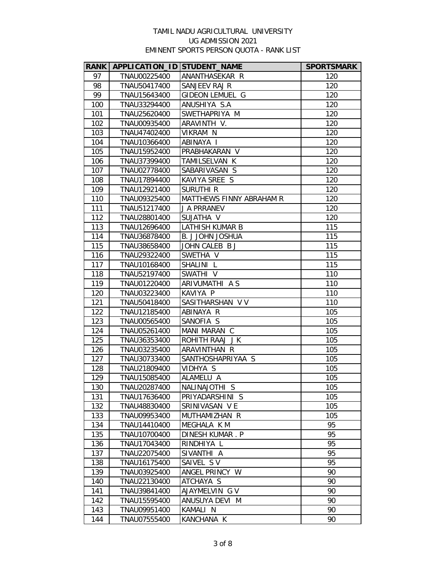| <b>RANK</b> | APPLICATION_ID STUDENT_NAME |                          | <b>SPORTSMARK</b> |
|-------------|-----------------------------|--------------------------|-------------------|
| 97          | TNAU00225400                | ANANTHASEKAR R           | 120               |
| 98          | TNAU50417400                | SANJEEV RAJ R            | 120               |
| 99          | TNAU15643400                | GIDEON LEMUEL G          | 120               |
| 100         | TNAU33294400                | ANUSHIYA S.A             | 120               |
| 101         | TNAU25620400                | SWETHAPRIYA M            | 120               |
| 102         | TNAU00935400                | ARAVINTH V.              | 120               |
| 103         | TNAU47402400                | VIKRAM N                 | 120               |
| 104         | TNAU10366400                | ABINAYA I                | 120               |
| 105         | TNAU15952400                | PRABHAKARAN V            | 120               |
| 106         | TNAU37399400                | TAMILSELVAN K            | 120               |
| 107         | TNAU02778400                | SABARIVASAN S            | 120               |
| 108         | TNAU17894400                | KAVIYA SREE S            | 120               |
| 109         | TNAU12921400                | <b>SURUTHI R</b>         | 120               |
| 110         | TNAU09325400                | MATTHEWS FINNY ABRAHAM R | 120               |
| 111         | TNAU51217400                | J A PRRANEV              | 120               |
| 112         | TNAU28801400                | SUJATHA V                | 120               |
| 113         | TNAU12696400                | <b>LATHISH KUMAR B</b>   | 115               |
| 114         | TNAU36878400                | <b>B. J JOHN JOSHUA</b>  | 115               |
| 115         | TNAU38658400                | JOHN CALEB B J           | 115               |
| 116         | TNAU29322400                | SWETHA V                 | 115               |
| 117         | TNAU10168400                | SHALINI L                | 115               |
| 118         | TNAU52197400                | SWATHI V                 | 110               |
| 119         | TNAU01220400                | ARIVUMATHI A S           | 110               |
| 120         | TNAU03223400                | KAVIYA P                 | 110               |
| 121         | TNAU50418400                | SASITHARSHAN V V         | 110               |
| 122         | TNAU12185400                | ABINAYA R                | 105               |
| 123         | TNAU00565400                | SANOFIA S                | 105               |
| 124         | TNAU05261400                | MANI MARAN C             | 105               |
| 125         | TNAU36353400                | ROHITH RAAJ JK           | 105               |
| 126         | TNAU03235400                | ARAVINTHAN R             | 105               |
| 127         | TNAU30733400                | SANTHOSHAPRIYAA S        | 105               |
| 128         | TNAU21809400                | VIDHYA S                 | 105               |
| 129         | TNAU15085400                | ALAMELU A                | 105               |
| 130         | TNAU20287400                | NALINAJOTHI S            | 105               |
| 131         | TNAU17636400                | PRIYADARSHINI S          | 105               |
| 132         | TNAU48830400                | SRINIVASAN VE            | 105               |
| 133         | TNAU09953400                | MUTHAMIZHAN R            | 105               |
| 134         | TNAU14410400                | MEGHALA K M              | 95                |
| 135         | TNAU10700400                | DINESH KUMAR. P          | 95                |
| 136         | TNAU17043400                | RINDHIYA L               | 95                |
| 137         | TNAU22075400                | SIVANTHI A               | 95                |
| 138         | TNAU16175400                | SAIVEL SV                | 95                |
| 139         | TNAU03925400                | ANGEL PRINCY W           | 90<br>90          |
| 140         | TNAU22130400                | ATCHAYA S                |                   |
| 141         | TNAU39841400                | AJAYMELVIN G V           | 90                |
| 142         | TNAU15595400                | ANUSUYA DEVI M           | 90                |
| 143         | TNAU09951400                | KAMALI N                 | 90                |
| 144         | TNAU07555400                | KANCHANA K               | 90                |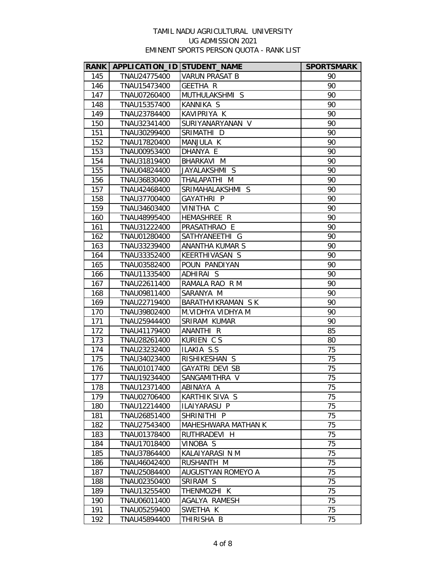|            | RANK   APPLICATION_ID STUDENT_NAME |                              | <b>SPORTSMARK</b> |
|------------|------------------------------------|------------------------------|-------------------|
| 145        | TNAU24775400                       | <b>VARUN PRASAT B</b>        | 90                |
| 146        | TNAU15473400                       | GEETHA R                     | 90                |
| 147        | TNAU07260400                       | MUTHULAKSHMI S               | 90                |
| 148        | TNAU15357400                       | KANNIKA S                    | 90                |
| 149        | TNAU23784400                       | KAVIPRIYA K                  | 90                |
| 150        | TNAU32341400                       | SURIYANARYANAN V             | 90                |
| 151        | TNAU30299400                       | SRIMATHI D                   | 90                |
| 152        | TNAU17820400                       | MANJULA K                    | 90                |
| 153        | TNAU00953400                       | DHANYA E                     | 90                |
| 154        | TNAU31819400                       | BHARKAVI M                   | 90                |
| 155        | TNAU04824400                       | JAYALAKSHMI S                | 90                |
| 156        | TNAU36830400                       | THALAPATHI M                 | 90                |
| 157        | TNAU42468400                       | SRIMAHALAKSHMI S             | 90                |
| 158        | TNAU37700400                       | GAYATHRI P                   | 90                |
| 159        | TNAU34603400                       | VINITHA C                    | 90                |
| 160        | TNAU48995400                       | HEMASHREE R                  | 90                |
| 161        | TNAU31222400                       | PRASATHRAO E                 | 90                |
| 162        | TNAU01280400                       | SATHYANEETHI G               | 90                |
| 163        | TNAU33239400                       | ANANTHA KUMAR S              | 90                |
| 164        | TNAU33352400                       | KEERTHIVASAN S               | 90                |
| 165        | TNAU03582400                       | POUN PANDIYAN                | 90                |
| 166        | TNAU11335400                       | ADHIRAI S                    | 90                |
| 167        | TNAU22611400                       | RAMALA RAO R M               | 90                |
| 168        | TNAU09811400                       | SARANYA M                    | 90                |
| 169        | TNAU22719400                       | BARATHVIKRAMAN SK            | 90                |
| 170        | TNAU39802400                       | M.VIDHYA VIDHYA M            | 90                |
| 171        | TNAU25944400                       | SRIRAM KUMAR                 | 90                |
| 172        | TNAU41179400                       | ANANTHI R                    | 85                |
| 173        | TNAU28261400                       | KURIEN CS                    | 80                |
| 174        | TNAU23232400                       | ILAKIA S.S                   | 75                |
| 175        | TNAU34023400                       | RISHIKESHAN S                | 75                |
| 176        | TNAU01017400                       | GAYATRI DEVI SB              | 75                |
| 177        | TNAU19234400                       | SANGAMITHRA V                | 75                |
| 178        | TNAU12371400                       | ABINAYA A                    | 75                |
| 179        | TNAU02706400                       | KARTHIK SIVA S               | 75                |
| 180        | TNAU12214400                       | ILAIYARASU P                 | 75                |
| 181        | TNAU26851400                       | SHRINITHI P                  | 75                |
| 182        | TNAU27543400                       | MAHESHWARA MATHAN K          | 75                |
| 183        | TNAU01378400                       | RUTHRADEVI H                 | 75                |
| 184        | TNAU17018400                       | VINOBA S                     | 75                |
| 185        | TNAU37864400                       | KALAIYARASI N M              | 75<br>75          |
| 186        | TNAU46042400                       | RUSHANTH M                   |                   |
| 187        | TNAU25084400                       | AUGUSTYAN ROMEYO A           | 75                |
| 188        | TNAU02350400                       | SRIRAM S                     | 75                |
| 189<br>190 | TNAU13255400                       | THENMOZHI K<br>AGALYA RAMESH | 75<br>75          |
| 191        | TNAU06011400                       |                              | 75                |
|            | TNAU05259400                       | SWETHA K                     |                   |
| 192        | TNAU45894400                       | THIRISHA B                   | 75                |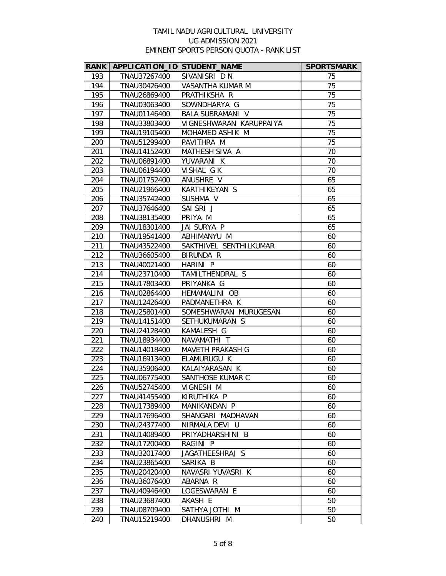| <b>RANK</b> | APPLICATION_ID STUDENT_NAME |                         | <b>SPORTSMARK</b> |
|-------------|-----------------------------|-------------------------|-------------------|
| 193         | TNAU37267400                | SIVANISRI DN            | 75                |
| 194         | TNAU30426400                | VASANTHA KUMAR M        | 75                |
| 195         | TNAU26869400                | PRATHIKSHA R            | 75                |
| 196         | TNAU03063400                | SOWNDHARYA G            | 75                |
| 197         | TNAU01146400                | <b>BALA SUBRAMANI V</b> | 75                |
| 198         | TNAU33803400                | VIGNESHWARAN KARUPPAIYA | 75                |
| 199         | TNAU19105400                | MOHAMED ASHIK M         | 75                |
| 200         | TNAU51299400                | PAVITHRA M              | 75                |
| 201         | TNAU14152400                | MATHESH SIVA A          | 70                |
| 202         | TNAU06891400                | YUVARANI K              | 70                |
| 203         | TNAU06194400                | VISHAL GK               | 70                |
| 204         | TNAU01752400                | ANUSHRE V               | 65                |
| 205         | TNAU21966400                | KARTHIKEYAN S           | 65                |
| 206         | TNAU35742400                | SUSHMA V                | 65                |
| 207         | TNAU37646400                | SAI SRIJ                | 65                |
| 208         | TNAU38135400                | PRIYA M                 | 65                |
| 209         | TNAU18301400                | JAI SURYA P             | 65                |
| 210         | TNAU19541400                | ABHIMANYU M             | 60                |
| 211         | TNAU43522400                | SAKTHIVEL SENTHILKUMAR  | 60                |
| 212         | TNAU36605400                | BIRUNDA R               | 60                |
| 213         | TNAU40021400                | HARINI P                | 60                |
| 214         | TNAU23710400                | TAMILTHENDRAL S         | 60                |
| 215         | TNAU17803400                | PRIYANKA G              | 60                |
| 216         | TNAU02864400                | HEMAMALINI OB           | 60                |
| 217         | TNAU12426400                | PADMANETHRA K           | 60                |
| 218         | TNAU25801400                | SOMESHWARAN MURUGESAN   | 60                |
| 219         | TNAU14151400                | SETHUKUMARAN S          | 60                |
| 220         | TNAU24128400                | KAMALESH G              | 60                |
| 221         | TNAU18934400                | NAVAMATHI T             | 60                |
| 222         | TNAU14018400                | MAVETH PRAKASH G        | 60                |
| 223         | TNAU16913400                | ELAMURUGU K             | 60                |
| 224         | TNAU35906400                | KALAIYARASAN K          | 60                |
| 225         | TNAU06775400                | SANTHOSE KUMAR C        | 60                |
| 226         | TNAU52745400                | VIGNESH M               | 60                |
| 227         | TNAU41455400                | KIRUTHIKA P             | 60                |
| 228         | TNAU17389400                | MANIKANDAN P            | 60                |
| 229         | TNAU17696400                | SHANGARI MADHAVAN       | 60                |
| 230         | TNAU24377400                | NIRMALA DEVI U          | 60                |
| 231         | TNAU14089400                | PRIYADHARSHINI B        | 60                |
| 232         | TNAU17200400                | RAGINI P                | 60                |
| 233         | TNAU32017400                | JAGATHEESHRAJ S         | 60                |
| 234         | TNAU23865400                | SARIKA B                | 60                |
| 235         | TNAU20420400                | NAVASRI YUVASRI K       | 60                |
| 236         | TNAU36076400                | ABARNA R                | 60                |
| 237         | TNAU40946400                | LOGESWARAN E            | 60                |
| 238         | TNAU23687400                | AKASH E                 | 50                |
| 239         | TNAU08709400                | SATHYA JOTHI M          | 50                |
| 240         | TNAU15219400                | DHANUSHRI M             | 50                |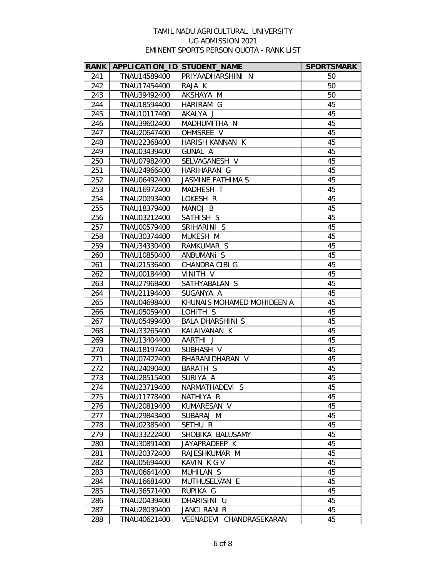|     | RANK   APPLICATION_ID STUDENT_NAME |                            | <b>SPORTSMARK</b> |
|-----|------------------------------------|----------------------------|-------------------|
| 241 | TNAU14589400                       | PRIYAADHARSHINI N          | 50                |
| 242 | TNAU17454400                       | RAJA K                     | 50                |
| 243 | TNAU39492400                       | AKSHAYA M                  | 50                |
| 244 | TNAU18594400                       | HARIRAM G                  | 45                |
| 245 | TNAU10117400                       | AKALYA J                   | 45                |
| 246 | TNAU39602400                       | MADHUMITHA N               | 45                |
| 247 | TNAU20647400                       | OHMSREE V                  | 45                |
| 248 | TNAU22368400                       | HARISH KANNAN K            | 45                |
| 249 | TNAU03439400                       | <b>GUNAL A</b>             | 45                |
| 250 | TNAU07982400                       | SELVAGANESH V              | 45                |
| 251 | TNAU24966400                       | HARIHARAN G                | 45                |
| 252 | TNAU06492400                       | <b>JASMINE FATHIMA S</b>   | 45                |
| 253 | TNAU16972400                       | MADHESH T                  | 45                |
| 254 | TNAU20093400                       | LOKESH R                   | 45                |
| 255 | TNAU18379400                       | MANOJ B                    | 45                |
| 256 | TNAU03212400                       | SATHISH S                  | 45                |
| 257 | TNAU00579400                       | SRIHARINI S                | 45                |
| 258 | TNAU30374400                       | MUKESH M                   | 45                |
| 259 | TNAU34330400                       | RAMKUMAR S                 | 45                |
| 260 | TNAU10850400                       | ANBUMANI S                 | 45                |
| 261 | TNAU21536400                       | CHANDRA CIBI G             | 45                |
| 262 | TNAU00184400                       | VINITH V                   | 45                |
| 263 | TNAU27968400                       | SATHYABALAN S              | 45                |
| 264 | TNAU21194400                       | SUGANYA A                  | 45                |
| 265 | TNAU04698400                       | KHUNAIS MOHAMED MOHIDEEN A | 45                |
| 266 | TNAU05059400                       | LOHITH S                   | 45                |
| 267 | TNAU05499400                       | <b>BALA DHARSHINI S</b>    | 45                |
| 268 | TNAU33265400                       | KALAIVANAN K               | 45                |
| 269 | TNAU13404400                       | AARTHI J                   | 45                |
| 270 | TNAU18197400                       | SUBHASH V                  | 45                |
| 271 | TNAU07422400                       | BHARANIDHARAN V            | 45                |
| 272 | TNAU24090400                       | BARATH S                   | 45                |
| 273 | TNAU28515400                       | SURIYA A                   | 45                |
| 274 | TNAU23719400                       | NARMATHADEVI S             | 45                |
| 275 | TNAU11778400                       | NATHIYA R                  | 45                |
| 276 | TNAU20819400                       | KUMARESAN V                | 45                |
| 277 | TNAU29843400                       | SUBARAJ M                  | 45                |
| 278 | TNAU02385400                       | SETHU R                    | 45                |
| 279 | TNAU33222400                       | SHOBIKA BALUSAMY           | 45                |
| 280 | TNAU30891400                       | JAYAPRADEEP K              | 45                |
| 281 | TNAU20372400                       | RAJESHKUMAR M              | 45                |
| 282 | TNAU05694400                       | KAVIN K G V                | 45                |
| 283 | TNAU06641400                       | MUHILAN S                  | 45                |
| 284 | TNAU16681400                       | MUTHUSELVAN E              | 45                |
| 285 | TNAU36571400                       | RUPIKA G                   | 45                |
| 286 | TNAU20439400                       | DHARISINI U                | 45                |
| 287 | TNAU28039400                       | <b>JANCI RANI R</b>        | 45                |
| 288 | TNAU40621400                       | VEENADEVI CHANDRASEKARAN   | 45                |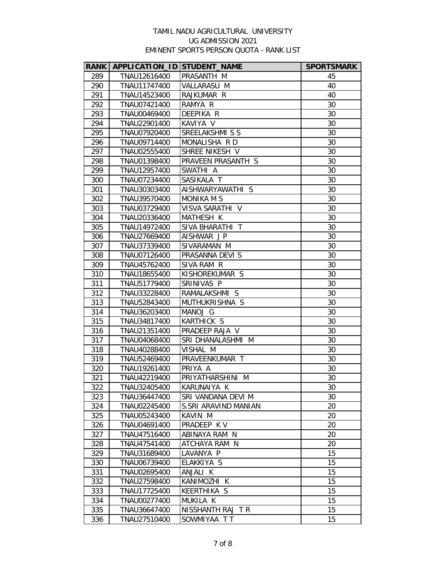| <b>RANK</b> | APPLICATION_ID STUDENT_NAME |                      | <b>SPORTSMARK</b> |
|-------------|-----------------------------|----------------------|-------------------|
| 289         | TNAU12616400                | PRASANTH M           | 45                |
| 290         | TNAU11747400                | VALLARASU M          | 40                |
| 291         | TNAU14523400                | RAJKUMAR R           | 40                |
| 292         | TNAU07421400                | RAMYA R              | 30                |
| 293         | TNAU00469400                | DEEPIKA R            | 30                |
| 294         | TNAU22901400                | KAVIYA V             | 30                |
| 295         | TNAU07920400                | SREELAKSHMI S S      | 30                |
| 296         | TNAU09714400                | MONALISHA R D        | 30                |
| 297         | TNAU02555400                | SHREE NIKESH V       | 30                |
| 298         | TNAU01398400                | PRAVEEN PRASANTH S   | 30                |
| 299         | TNAU12957400                | SWATHI A             | 30                |
| 300         | TNAU07234400                | SASIKALA T           | 30                |
| 301         | TNAU30303400                | AISHWARYAWATHI S     | 30                |
| 302         | TNAU39570400                | <b>MONIKA M S</b>    | 30                |
| 303         | TNAU03729400                | VISVA SARATHI V      | 30                |
| 304         | TNAU20336400                | MATHESH K            | 30                |
| 305         | TNAU14972400                | SIVA BHARATHI T      | 30                |
| 306         | TNAU27669400                | AISHWAR JP           | 30                |
| 307         | TNAU37339400                | SIVARAMAN M          | 30                |
| 308         | TNAU07126400                | PRASANNA DEVI S      | 30                |
| 309         | TNAU45762400                | SIVA RAM R           | 30                |
| 310         | TNAU18655400                | KISHOREKUMAR S       | 30                |
| 311         | TNAU51779400                | SRINIVAS P           | 30                |
| 312         | TNAU33228400                | RAMALAKSHMI S        | 30                |
| 313         | TNAU52843400                | MUTHUKRISHNA S       | 30                |
| 314         | TNAU36203400                | MANOJ G              | 30                |
| 315         | TNAU34817400                | <b>KARTHICK S</b>    | 30                |
| 316         | TNAU21351400                | PRADEEP RAJA V       | 30                |
| 317         | TNAU04068400                | SRI DHANALASHMI M    | 30                |
| 318         | TNAU40288400                | VISHAL M             | 30                |
| 319         | TNAU52469400                | PRAVEENKUMAR T       | 30                |
| 320         | TNAU19261400                | PRIYA A              | 30                |
| 321         | TNAU42219400                | PRIYATHARSHINI M     | 30                |
| 322         | TNAU32405400                | KARUNAIYA K          | 30                |
| 323         | TNAU36447400                | SRI VANDANA DEVI M   | 30                |
| 324         | TNAU02245400                | S.SRI ARAVIND MANIAN | 20                |
| 325         | TNAU05243400                | KAVIN M              | 20                |
| 326         | TNAU04691400                | PRADEEP KV           | 20                |
| 327         | TNAU47516400                | ABINAYA RAM N        | 20                |
| 328         | TNAU47541400                | ATCHAYA RAM N        | 20                |
| 329         | TNAU31689400                | LAVANYA P            | 15                |
| 330         | TNAU06739400                | ELAKKIYA S           | 15                |
| 331         | TNAU02695400                | ANJALI K             | 15                |
| 332         | TNAU27598400                | KANIMOZHI K          | 15                |
| 333         | TNAU17725400                | KEERTHIKA S          | 15                |
| 334         | TNAU00277400                | MUKILA K             | 15                |
| 335         | TNAU36647400                | NISSHANTH RAJ TR     | 15                |
| 336         | TNAU27510400                | SOWMIYAA TT          | 15                |